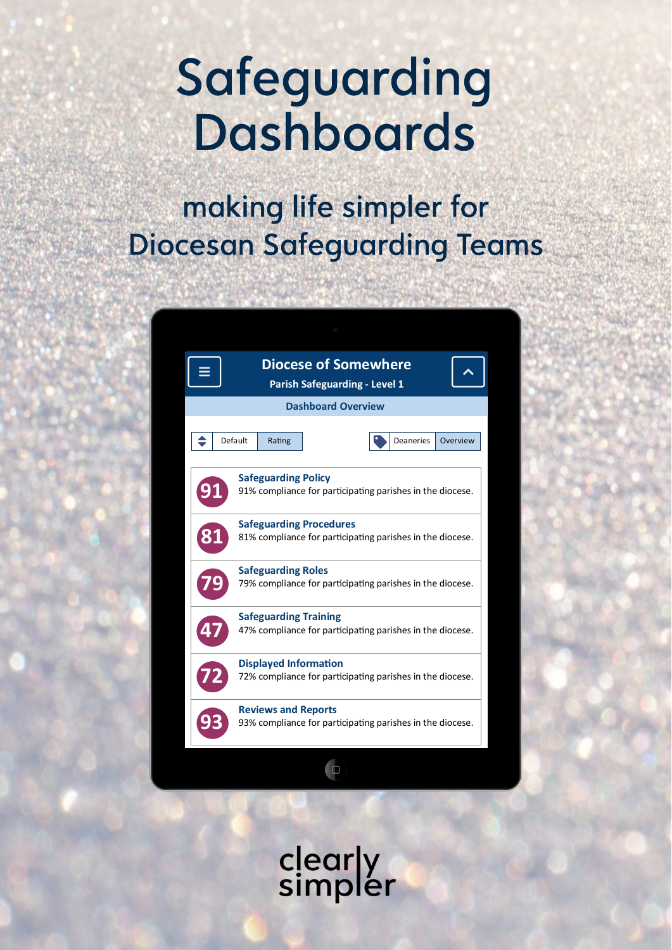# Safeguarding **Dashboards**

# making life simpler for **Diocesan Safeguarding Teams**



clearly<br>simpler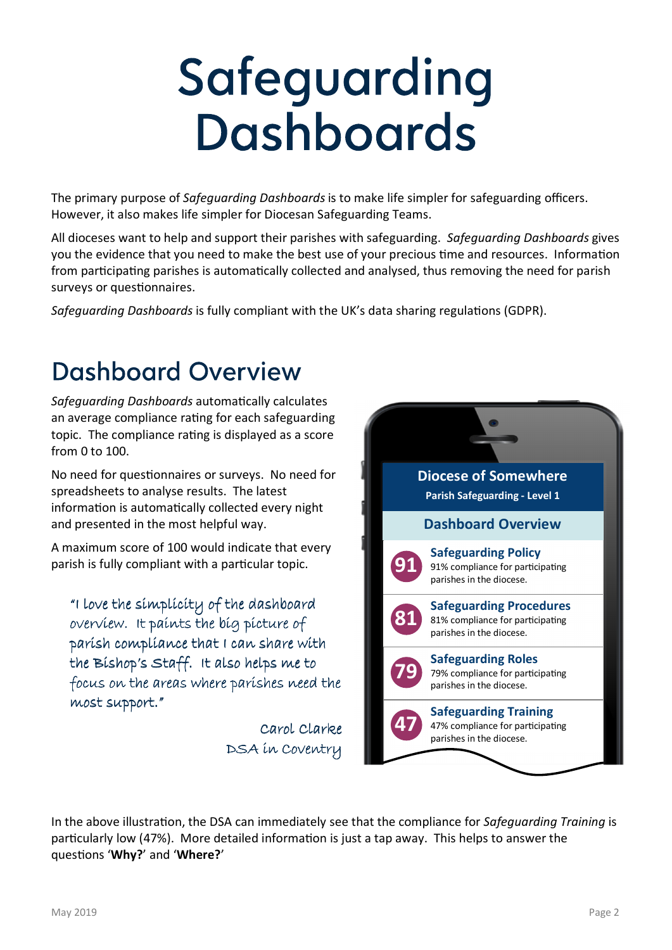# Safeguarding **Dashboards**

The primary purpose of *Safeguarding Dashboards* is to make life simpler for safeguarding officers. However, it also makes life simpler for Diocesan Safeguarding Teams.

All dioceses want to help and support their parishes with safeguarding. *Safeguarding Dashboards* gives you the evidence that you need to make the best use of your precious time and resources. Information from participating parishes is automatically collected and analysed, thus removing the need for parish surveys or questionnaires.

*Safeguarding Dashboards* is fully compliant with the UK's data sharing regulations (GDPR).

#### **Dashboard Overview**

**Safeguarding Dashboards automatically calculates** an average compliance rating for each safeguarding topic. The compliance rating is displayed as a score from 0 to 100.

No need for questionnaires or surveys. No need for spreadsheets to analyse results. The latest information is automatically collected every night and presented in the most helpful way.

A maximum score of 100 would indicate that every parish is fully compliant with a particular topic.

"I love the simplicity of the dashboard overview. It paints the big picture of parish compliance that I can share with the Bishop's Staff. It also helps me to focus on the areas where parishes need the most support."

> Carol Clarke DSA in Coventry



In the above illustration, the DSA can immediately see that the compliance for *Safequarding Training* is particularly low (47%). More detailed information is just a tap away. This helps to answer the quesons '**Why?**' and '**Where?**'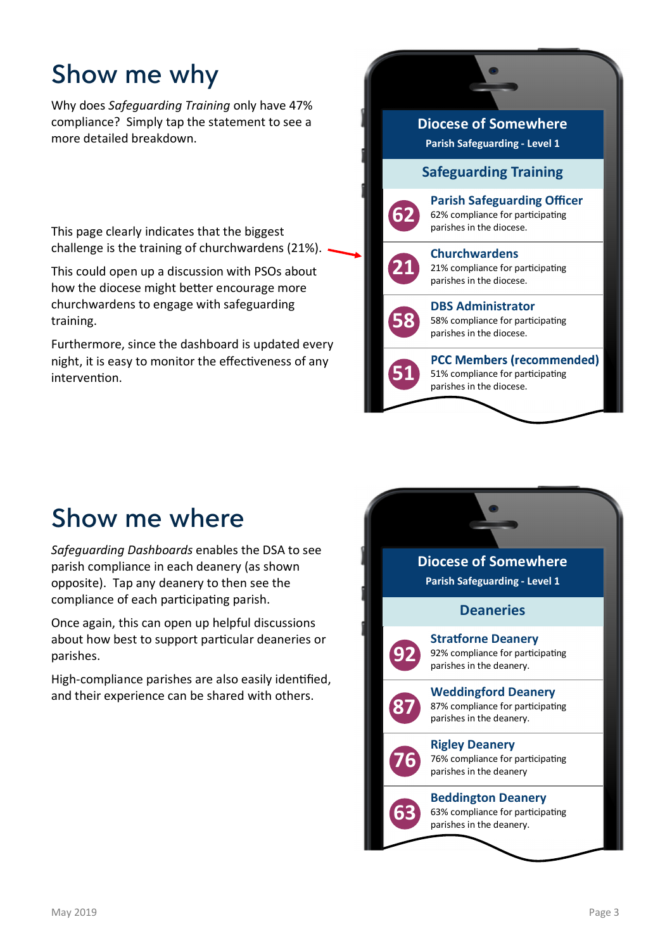### Show me why

Why does *Safeguarding Training* only have 47% compliance? Simply tap the statement to see a more detailed breakdown.

This page clearly indicates that the biggest challenge is the training of churchwardens (21%).

This could open up a discussion with PSOs about how the diocese might better encourage more churchwardens to engage with safeguarding training.

Furthermore, since the dashboard is updated every night, it is easy to monitor the effectiveness of any intervention.



#### Show me where

*Safeguarding Dashboards* enables the DSA to see parish compliance in each deanery (as shown opposite). Tap any deanery to then see the compliance of each participating parish.

Once again, this can open up helpful discussions about how best to support particular deaneries or parishes.

High-compliance parishes are also easily identified, and their experience can be shared with others.